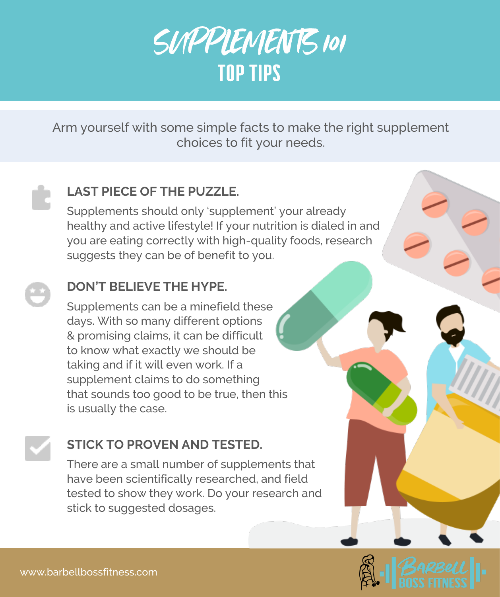

Arm yourself with some simple facts to make the right supplement choices to fit your needs.

## **LAST PIECE OF THE PUZZLE.**

Supplements should only 'supplement' your already healthy and active lifestyle! If your nutrition is dialed in and you are eating correctly with high-quality foods, research suggests they can be of benefit to you.

# **DON'T BELIEVE THE HYPE.**

Supplements can be a minefield these days. With so many different options & promising claims, it can be difficult to know what exactly we should be taking and if it will even work. If a supplement claims to do something that sounds too good to be true, then this is usually the case.

# **STICK TO PROVEN AND TESTED.**

There are a small number of supplements that have been scientifically researched, and field tested to show they work. Do your research and stick to suggested dosages.

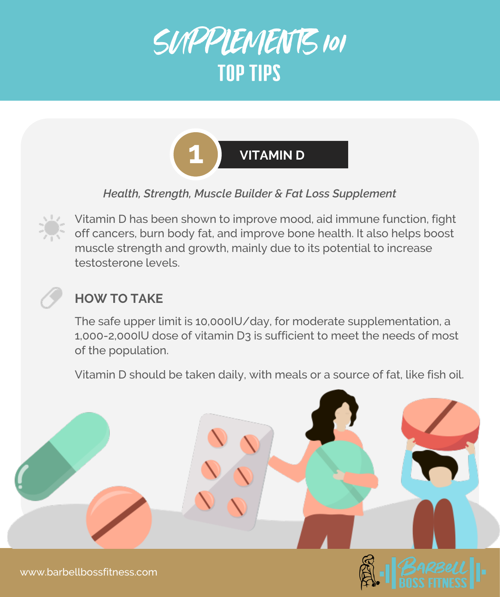



*Health, Strength, Muscle Builder & Fat Loss Supplement* 



Vitamin D has been shown to improve mood, aid immune function, fight off cancers, burn body fat, and improve bone health. It also helps boost muscle strength and growth, mainly due to its potential to increase testosterone levels.

# **HOW TO TAKE**

The safe upper limit is 10,000IU/day, for moderate supplementation, a 1,000-2,000IU dose of vitamin D3 is sufficient to meet the needs of most of the population.

Vitamin D should be taken daily, with meals or a source of fat, like fish oil.



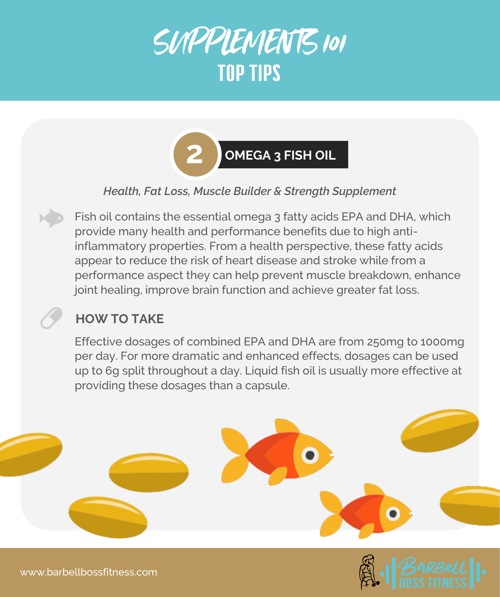



#### *Health, Fat Loss, Muscle Builder & Strength Supplement*

Fish oil contains the essential omega 3 fatty acids EPA and DHA, which provide many health and performance benefits due to high antiinflammatory properties. From a health perspective, these fatty acids appear to reduce the risk of heart disease and stroke while from a performance aspect they can help prevent muscle breakdown, enhance joint healing, improve brain function and achieve greater fat loss.

## **HOW TO TAKE**

Effective dosages of combined EPA and DHA are from 250mg to 1000mg per day. For more dramatic and enhanced effects, dosages can be used up to 6g split throughout a day. Liquid fish oil is usually more effective at providing these dosages than a capsule.

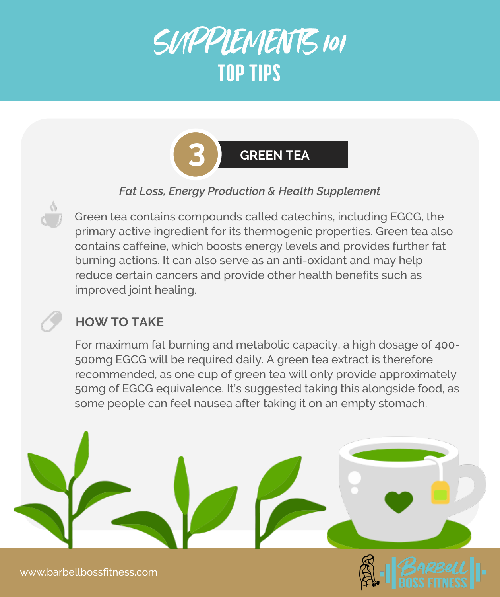



### *Fat Loss, Energy Production & Health Supplement*

Green tea contains compounds called catechins, including EGCG, the primary active ingredient for its thermogenic properties. Green tea also contains caffeine, which boosts energy levels and provides further fat burning actions. It can also serve as an anti-oxidant and may help reduce certain cancers and provide other health benefits such as improved joint healing.

## **HOW TO TAKE**

For maximum fat burning and metabolic capacity, a high dosage of 400- 500mg EGCG will be required daily. A green tea extract is therefore recommended, as one cup of green tea will only provide approximately 50mg of EGCG equivalence. It's suggested taking this alongside food, as some people can feel nausea after taking it on an empty stomach.

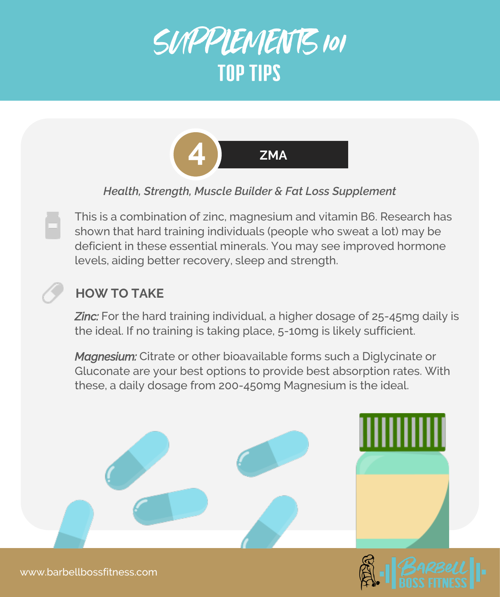



#### *Health, Strength, Muscle Builder & Fat Loss Supplement*

This is a combination of zinc, magnesium and vitamin B6. Research has shown that hard training individuals (people who sweat a lot) may be deficient in these essential minerals. You may see improved hormone levels, aiding better recovery, sleep and strength.

## **HOW TO TAKE**

**Zinc:** For the hard training individual, a higher dosage of 25-45mg daily is the ideal. If no training is taking place, 5-10mg is likely sufficient.

*Magnesium:* Citrate or other bioavailable forms such a Diglycinate or Gluconate are your best options to provide best absorption rates. With these, a daily dosage from 200-450mg Magnesium is the ideal.



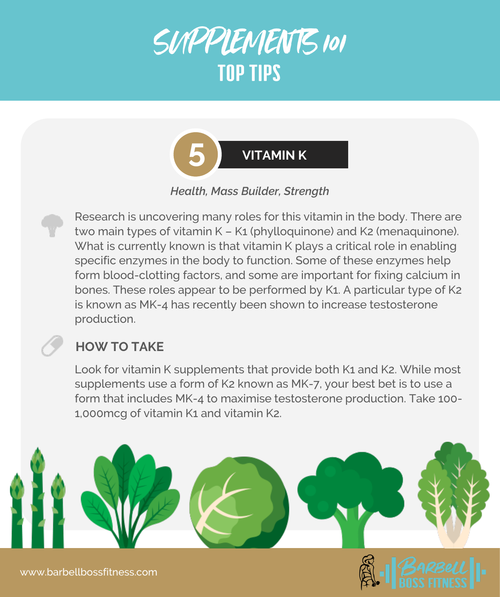



*Health, Mass Builder, Strength* 

Research is uncovering many roles for this vitamin in the body. There are two main types of vitamin K - K1 (phylloquinone) and K2 (menaquinone). What is currently known is that vitamin K plays a critical role in enabling specific enzymes in the body to function. Some of these enzymes help form blood-clotting factors, and some are important for fixing calcium in bones. These roles appear to be performed by K1. A particular type of K2 is known as MK-4 has recently been shown to increase testosterone production.

# **HOW TO TAKE**

Look for vitamin K supplements that provide both K1 and K2. While most supplements use a form of K2 known as MK-7, your best bet is to use a form that includes MK-4 to maximise testosterone production. Take 100- 1,000mcg of vitamin K1 and vitamin K2.



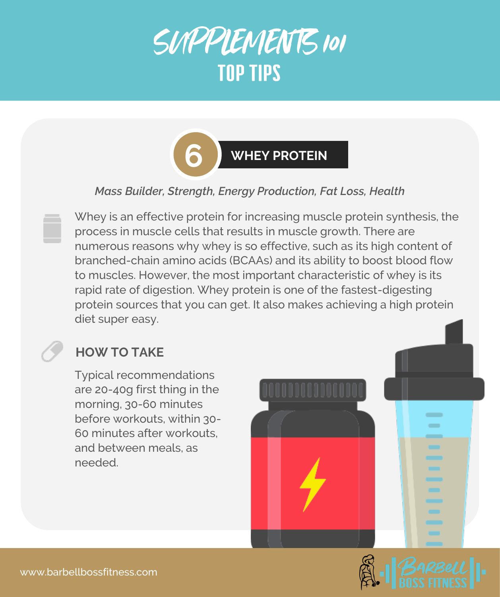



#### *Mass Builder, Strength, Energy Production, Fat Loss, Health*

Whey is an effective protein for increasing muscle protein synthesis, the process in muscle cells that results in muscle growth. There are numerous reasons why whey is so effective, such as its high content of branched-chain amino acids (BCAAs) and its ability to boost blood flow to muscles. However, the most important characteristic of whey is its rapid rate of digestion. Whey protein is one of the fastest-digesting protein sources that you can get. It also makes achieving a high protein diet super easy.

## **HOW TO TAKE**

Typical recommendations are 20-40g first thing in the morning, 30-60 minutes before workouts, within 30- 60 minutes after workouts, and between meals, as needed.



 $\overline{\phantom{a}}$